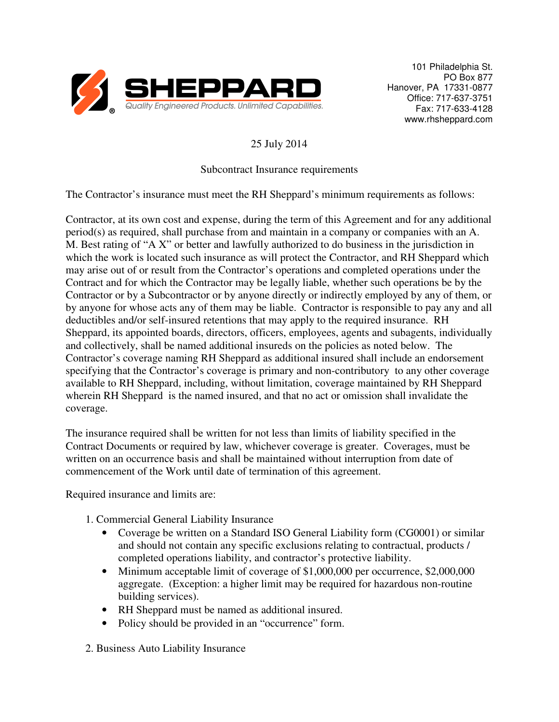

101 Philadelphia St. PO Box 877 Hanover, PA 17331-0877 Office: 717-637-3751 Fax: 717-633-4128 www.rhsheppard.com

## 25 July 2014

## Subcontract Insurance requirements

The Contractor's insurance must meet the RH Sheppard's minimum requirements as follows:

Contractor, at its own cost and expense, during the term of this Agreement and for any additional period(s) as required, shall purchase from and maintain in a company or companies with an A. M. Best rating of "A X" or better and lawfully authorized to do business in the jurisdiction in which the work is located such insurance as will protect the Contractor, and RH Sheppard which may arise out of or result from the Contractor's operations and completed operations under the Contract and for which the Contractor may be legally liable, whether such operations be by the Contractor or by a Subcontractor or by anyone directly or indirectly employed by any of them, or by anyone for whose acts any of them may be liable. Contractor is responsible to pay any and all deductibles and/or self-insured retentions that may apply to the required insurance. RH Sheppard, its appointed boards, directors, officers, employees, agents and subagents, individually and collectively, shall be named additional insureds on the policies as noted below. The Contractor's coverage naming RH Sheppard as additional insured shall include an endorsement specifying that the Contractor's coverage is primary and non-contributory to any other coverage available to RH Sheppard, including, without limitation, coverage maintained by RH Sheppard wherein RH Sheppard is the named insured, and that no act or omission shall invalidate the coverage.

The insurance required shall be written for not less than limits of liability specified in the Contract Documents or required by law, whichever coverage is greater. Coverages, must be written on an occurrence basis and shall be maintained without interruption from date of commencement of the Work until date of termination of this agreement.

Required insurance and limits are:

- 1. Commercial General Liability Insurance
	- Coverage be written on a Standard ISO General Liability form (CG0001) or similar and should not contain any specific exclusions relating to contractual, products / completed operations liability, and contractor's protective liability.
	- Minimum acceptable limit of coverage of \$1,000,000 per occurrence, \$2,000,000 aggregate. (Exception: a higher limit may be required for hazardous non-routine building services).
	- RH Sheppard must be named as additional insured.
	- Policy should be provided in an "occurrence" form.
- 2. Business Auto Liability Insurance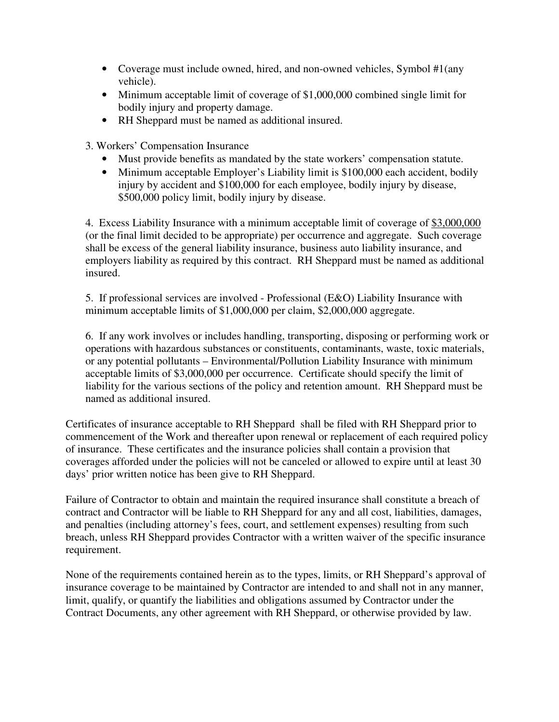- Coverage must include owned, hired, and non-owned vehicles, Symbol #1(any vehicle).
- Minimum acceptable limit of coverage of \$1,000,000 combined single limit for bodily injury and property damage.
- RH Sheppard must be named as additional insured.

3. Workers' Compensation Insurance

- Must provide benefits as mandated by the state workers' compensation statute.
- Minimum acceptable Employer's Liability limit is \$100,000 each accident, bodily injury by accident and \$100,000 for each employee, bodily injury by disease, \$500,000 policy limit, bodily injury by disease.

4. Excess Liability Insurance with a minimum acceptable limit of coverage of \$3,000,000 (or the final limit decided to be appropriate) per occurrence and aggregate. Such coverage shall be excess of the general liability insurance, business auto liability insurance, and employers liability as required by this contract. RH Sheppard must be named as additional insured.

5. If professional services are involved - Professional (E&O) Liability Insurance with minimum acceptable limits of \$1,000,000 per claim, \$2,000,000 aggregate.

6. If any work involves or includes handling, transporting, disposing or performing work or operations with hazardous substances or constituents, contaminants, waste, toxic materials, or any potential pollutants – Environmental/Pollution Liability Insurance with minimum acceptable limits of \$3,000,000 per occurrence. Certificate should specify the limit of liability for the various sections of the policy and retention amount. RH Sheppard must be named as additional insured.

Certificates of insurance acceptable to RH Sheppard shall be filed with RH Sheppard prior to commencement of the Work and thereafter upon renewal or replacement of each required policy of insurance. These certificates and the insurance policies shall contain a provision that coverages afforded under the policies will not be canceled or allowed to expire until at least 30 days' prior written notice has been give to RH Sheppard.

Failure of Contractor to obtain and maintain the required insurance shall constitute a breach of contract and Contractor will be liable to RH Sheppard for any and all cost, liabilities, damages, and penalties (including attorney's fees, court, and settlement expenses) resulting from such breach, unless RH Sheppard provides Contractor with a written waiver of the specific insurance requirement.

None of the requirements contained herein as to the types, limits, or RH Sheppard's approval of insurance coverage to be maintained by Contractor are intended to and shall not in any manner, limit, qualify, or quantify the liabilities and obligations assumed by Contractor under the Contract Documents, any other agreement with RH Sheppard, or otherwise provided by law.